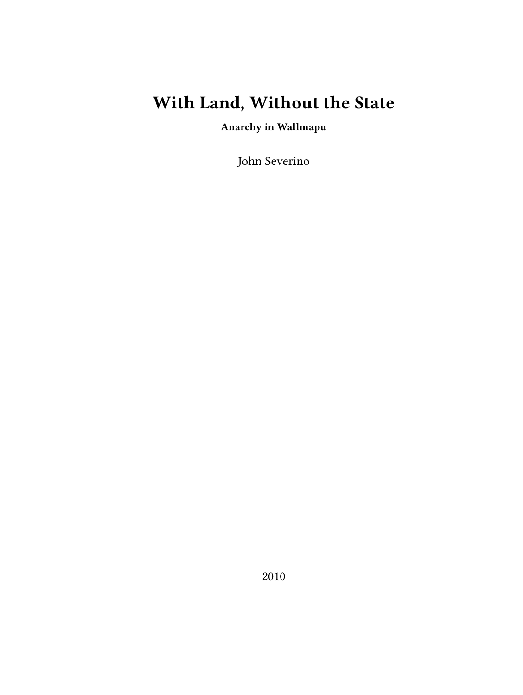# **With Land, Without the State**

**Anarchy in Wallmapu**

John Severino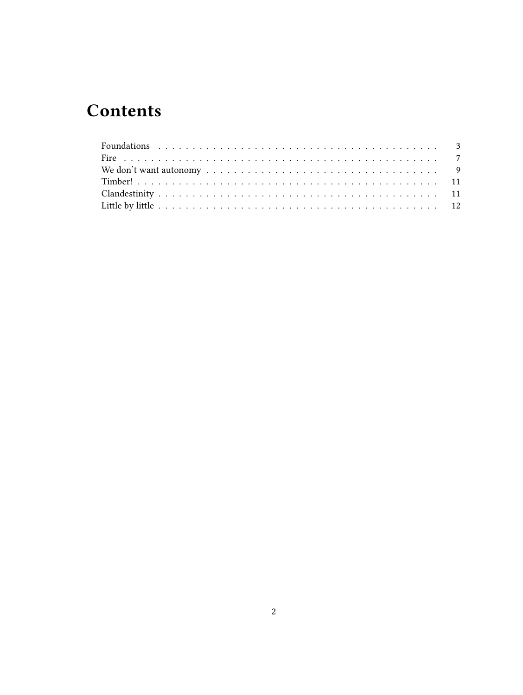## **Contents**

| We don't want autonomy $\dots \dots \dots \dots \dots \dots \dots \dots \dots \dots \dots \dots \dots$ |  |
|--------------------------------------------------------------------------------------------------------|--|
|                                                                                                        |  |
|                                                                                                        |  |
|                                                                                                        |  |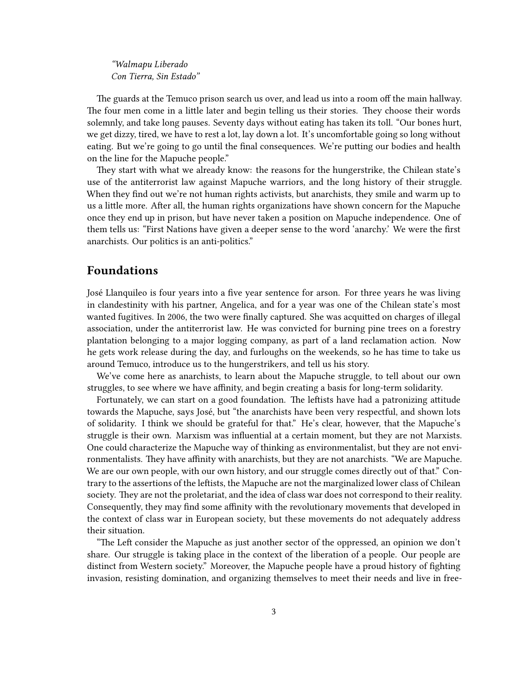*"Walmapu Liberado Con Tierra, Sin Estado"*

The guards at the Temuco prison search us over, and lead us into a room off the main hallway. The four men come in a little later and begin telling us their stories. They choose their words solemnly, and take long pauses. Seventy days without eating has taken its toll. "Our bones hurt, we get dizzy, tired, we have to rest a lot, lay down a lot. It's uncomfortable going so long without eating. But we're going to go until the final consequences. We're putting our bodies and health on the line for the Mapuche people."

They start with what we already know: the reasons for the hungerstrike, the Chilean state's use of the antiterrorist law against Mapuche warriors, and the long history of their struggle. When they find out we're not human rights activists, but anarchists, they smile and warm up to us a little more. After all, the human rights organizations have shown concern for the Mapuche once they end up in prison, but have never taken a position on Mapuche independence. One of them tells us: "First Nations have given a deeper sense to the word 'anarchy.' We were the first anarchists. Our politics is an anti-politics."

#### <span id="page-2-0"></span>**Foundations**

José Llanquileo is four years into a five year sentence for arson. For three years he was living in clandestinity with his partner, Angelica, and for a year was one of the Chilean state's most wanted fugitives. In 2006, the two were finally captured. She was acquitted on charges of illegal association, under the antiterrorist law. He was convicted for burning pine trees on a forestry plantation belonging to a major logging company, as part of a land reclamation action. Now he gets work release during the day, and furloughs on the weekends, so he has time to take us around Temuco, introduce us to the hungerstrikers, and tell us his story.

We've come here as anarchists, to learn about the Mapuche struggle, to tell about our own struggles, to see where we have affinity, and begin creating a basis for long-term solidarity.

Fortunately, we can start on a good foundation. The leftists have had a patronizing attitude towards the Mapuche, says José, but "the anarchists have been very respectful, and shown lots of solidarity. I think we should be grateful for that." He's clear, however, that the Mapuche's struggle is their own. Marxism was influential at a certain moment, but they are not Marxists. One could characterize the Mapuche way of thinking as environmentalist, but they are not environmentalists. They have affinity with anarchists, but they are not anarchists. "We are Mapuche. We are our own people, with our own history, and our struggle comes directly out of that." Contrary to the assertions of the leftists, the Mapuche are not the marginalized lower class of Chilean society. They are not the proletariat, and the idea of class war does not correspond to their reality. Consequently, they may find some affinity with the revolutionary movements that developed in the context of class war in European society, but these movements do not adequately address their situation.

"The Left consider the Mapuche as just another sector of the oppressed, an opinion we don't share. Our struggle is taking place in the context of the liberation of a people. Our people are distinct from Western society." Moreover, the Mapuche people have a proud history of fighting invasion, resisting domination, and organizing themselves to meet their needs and live in free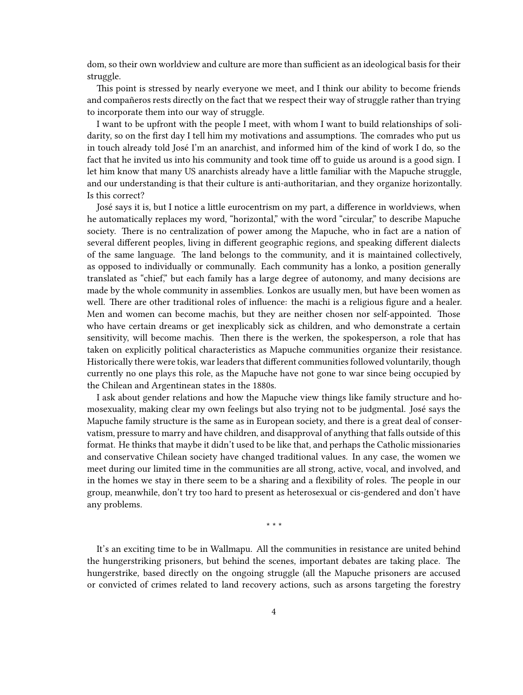dom, so their own worldview and culture are more than sufficient as an ideological basis for their struggle.

This point is stressed by nearly everyone we meet, and I think our ability to become friends and compañeros rests directly on the fact that we respect their way of struggle rather than trying to incorporate them into our way of struggle.

I want to be upfront with the people I meet, with whom I want to build relationships of solidarity, so on the first day I tell him my motivations and assumptions. The comrades who put us in touch already told José I'm an anarchist, and informed him of the kind of work I do, so the fact that he invited us into his community and took time off to guide us around is a good sign. I let him know that many US anarchists already have a little familiar with the Mapuche struggle, and our understanding is that their culture is anti-authoritarian, and they organize horizontally. Is this correct?

José says it is, but I notice a little eurocentrism on my part, a difference in worldviews, when he automatically replaces my word, "horizontal," with the word "circular," to describe Mapuche society. There is no centralization of power among the Mapuche, who in fact are a nation of several different peoples, living in different geographic regions, and speaking different dialects of the same language. The land belongs to the community, and it is maintained collectively, as opposed to individually or communally. Each community has a lonko, a position generally translated as "chief," but each family has a large degree of autonomy, and many decisions are made by the whole community in assemblies. Lonkos are usually men, but have been women as well. There are other traditional roles of influence: the machi is a religious figure and a healer. Men and women can become machis, but they are neither chosen nor self-appointed. Those who have certain dreams or get inexplicably sick as children, and who demonstrate a certain sensitivity, will become machis. Then there is the werken, the spokesperson, a role that has taken on explicitly political characteristics as Mapuche communities organize their resistance. Historically there were tokis, war leaders that different communities followed voluntarily, though currently no one plays this role, as the Mapuche have not gone to war since being occupied by the Chilean and Argentinean states in the 1880s.

I ask about gender relations and how the Mapuche view things like family structure and homosexuality, making clear my own feelings but also trying not to be judgmental. José says the Mapuche family structure is the same as in European society, and there is a great deal of conservatism, pressure to marry and have children, and disapproval of anything that falls outside of this format. He thinks that maybe it didn't used to be like that, and perhaps the Catholic missionaries and conservative Chilean society have changed traditional values. In any case, the women we meet during our limited time in the communities are all strong, active, vocal, and involved, and in the homes we stay in there seem to be a sharing and a flexibility of roles. The people in our group, meanwhile, don't try too hard to present as heterosexual or cis-gendered and don't have any problems.

\* \* \*

It's an exciting time to be in Wallmapu. All the communities in resistance are united behind the hungerstriking prisoners, but behind the scenes, important debates are taking place. The hungerstrike, based directly on the ongoing struggle (all the Mapuche prisoners are accused or convicted of crimes related to land recovery actions, such as arsons targeting the forestry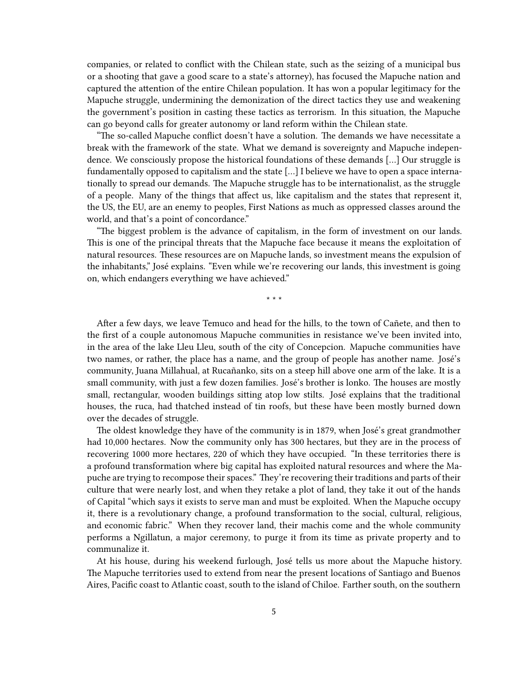companies, or related to conflict with the Chilean state, such as the seizing of a municipal bus or a shooting that gave a good scare to a state's attorney), has focused the Mapuche nation and captured the attention of the entire Chilean population. It has won a popular legitimacy for the Mapuche struggle, undermining the demonization of the direct tactics they use and weakening the government's position in casting these tactics as terrorism. In this situation, the Mapuche can go beyond calls for greater autonomy or land reform within the Chilean state.

"The so-called Mapuche conflict doesn't have a solution. The demands we have necessitate a break with the framework of the state. What we demand is sovereignty and Mapuche independence. We consciously propose the historical foundations of these demands […] Our struggle is fundamentally opposed to capitalism and the state […] I believe we have to open a space internationally to spread our demands. The Mapuche struggle has to be internationalist, as the struggle of a people. Many of the things that affect us, like capitalism and the states that represent it, the US, the EU, are an enemy to peoples, First Nations as much as oppressed classes around the world, and that's a point of concordance."

"The biggest problem is the advance of capitalism, in the form of investment on our lands. This is one of the principal threats that the Mapuche face because it means the exploitation of natural resources. These resources are on Mapuche lands, so investment means the expulsion of the inhabitants," José explains. "Even while we're recovering our lands, this investment is going on, which endangers everything we have achieved."

\* \* \*

After a few days, we leave Temuco and head for the hills, to the town of Cañete, and then to the first of a couple autonomous Mapuche communities in resistance we've been invited into, in the area of the lake Lleu Lleu, south of the city of Concepcion. Mapuche communities have two names, or rather, the place has a name, and the group of people has another name. José's community, Juana Millahual, at Rucañanko, sits on a steep hill above one arm of the lake. It is a small community, with just a few dozen families. José's brother is lonko. The houses are mostly small, rectangular, wooden buildings sitting atop low stilts. José explains that the traditional houses, the ruca, had thatched instead of tin roofs, but these have been mostly burned down over the decades of struggle.

The oldest knowledge they have of the community is in 1879, when José's great grandmother had 10,000 hectares. Now the community only has 300 hectares, but they are in the process of recovering 1000 more hectares, 220 of which they have occupied. "In these territories there is a profound transformation where big capital has exploited natural resources and where the Mapuche are trying to recompose their spaces." They're recovering their traditions and parts of their culture that were nearly lost, and when they retake a plot of land, they take it out of the hands of Capital "which says it exists to serve man and must be exploited. When the Mapuche occupy it, there is a revolutionary change, a profound transformation to the social, cultural, religious, and economic fabric." When they recover land, their machis come and the whole community performs a Ngillatun, a major ceremony, to purge it from its time as private property and to communalize it.

At his house, during his weekend furlough, José tells us more about the Mapuche history. The Mapuche territories used to extend from near the present locations of Santiago and Buenos Aires, Pacific coast to Atlantic coast, south to the island of Chiloe. Farther south, on the southern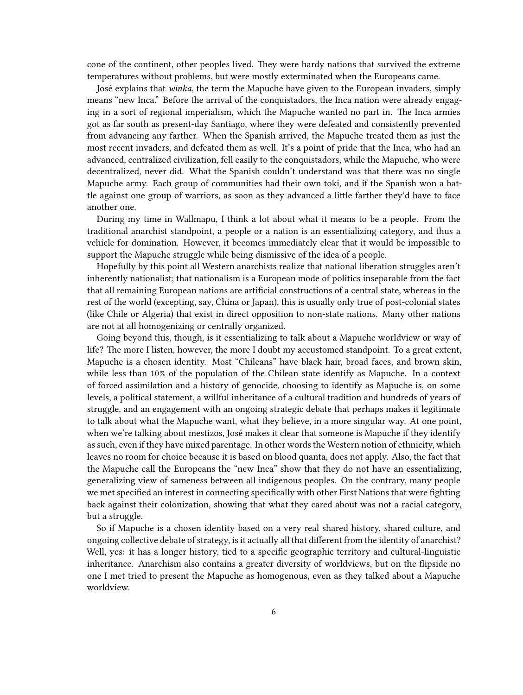cone of the continent, other peoples lived. They were hardy nations that survived the extreme temperatures without problems, but were mostly exterminated when the Europeans came.

José explains that *winka*, the term the Mapuche have given to the European invaders, simply means "new Inca." Before the arrival of the conquistadors, the Inca nation were already engaging in a sort of regional imperialism, which the Mapuche wanted no part in. The Inca armies got as far south as present-day Santiago, where they were defeated and consistently prevented from advancing any farther. When the Spanish arrived, the Mapuche treated them as just the most recent invaders, and defeated them as well. It's a point of pride that the Inca, who had an advanced, centralized civilization, fell easily to the conquistadors, while the Mapuche, who were decentralized, never did. What the Spanish couldn't understand was that there was no single Mapuche army. Each group of communities had their own toki, and if the Spanish won a battle against one group of warriors, as soon as they advanced a little farther they'd have to face another one.

During my time in Wallmapu, I think a lot about what it means to be a people. From the traditional anarchist standpoint, a people or a nation is an essentializing category, and thus a vehicle for domination. However, it becomes immediately clear that it would be impossible to support the Mapuche struggle while being dismissive of the idea of a people.

Hopefully by this point all Western anarchists realize that national liberation struggles aren't inherently nationalist; that nationalism is a European mode of politics inseparable from the fact that all remaining European nations are artificial constructions of a central state, whereas in the rest of the world (excepting, say, China or Japan), this is usually only true of post-colonial states (like Chile or Algeria) that exist in direct opposition to non-state nations. Many other nations are not at all homogenizing or centrally organized.

Going beyond this, though, is it essentializing to talk about a Mapuche worldview or way of life? The more I listen, however, the more I doubt my accustomed standpoint. To a great extent, Mapuche is a chosen identity. Most "Chileans" have black hair, broad faces, and brown skin, while less than 10% of the population of the Chilean state identify as Mapuche. In a context of forced assimilation and a history of genocide, choosing to identify as Mapuche is, on some levels, a political statement, a willful inheritance of a cultural tradition and hundreds of years of struggle, and an engagement with an ongoing strategic debate that perhaps makes it legitimate to talk about what the Mapuche want, what they believe, in a more singular way. At one point, when we're talking about mestizos, José makes it clear that someone is Mapuche if they identify as such, even if they have mixed parentage. In other words the Western notion of ethnicity, which leaves no room for choice because it is based on blood quanta, does not apply. Also, the fact that the Mapuche call the Europeans the "new Inca" show that they do not have an essentializing, generalizing view of sameness between all indigenous peoples. On the contrary, many people we met specified an interest in connecting specifically with other First Nations that were fighting back against their colonization, showing that what they cared about was not a racial category, but a struggle.

So if Mapuche is a chosen identity based on a very real shared history, shared culture, and ongoing collective debate of strategy, is it actually all that different from the identity of anarchist? Well, yes: it has a longer history, tied to a specific geographic territory and cultural-linguistic inheritance. Anarchism also contains a greater diversity of worldviews, but on the flipside no one I met tried to present the Mapuche as homogenous, even as they talked about a Mapuche worldview.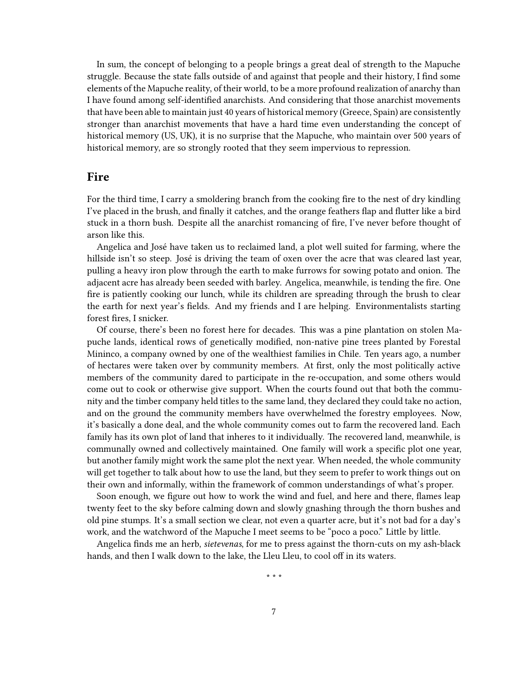In sum, the concept of belonging to a people brings a great deal of strength to the Mapuche struggle. Because the state falls outside of and against that people and their history, I find some elements of the Mapuche reality, of their world, to be a more profound realization of anarchy than I have found among self-identified anarchists. And considering that those anarchist movements that have been able to maintain just 40 years of historical memory (Greece, Spain) are consistently stronger than anarchist movements that have a hard time even understanding the concept of historical memory (US, UK), it is no surprise that the Mapuche, who maintain over 500 years of historical memory, are so strongly rooted that they seem impervious to repression.

#### <span id="page-6-0"></span>**Fire**

For the third time, I carry a smoldering branch from the cooking fire to the nest of dry kindling I've placed in the brush, and finally it catches, and the orange feathers flap and flutter like a bird stuck in a thorn bush. Despite all the anarchist romancing of fire, I've never before thought of arson like this.

Angelica and José have taken us to reclaimed land, a plot well suited for farming, where the hillside isn't so steep. José is driving the team of oxen over the acre that was cleared last year, pulling a heavy iron plow through the earth to make furrows for sowing potato and onion. The adjacent acre has already been seeded with barley. Angelica, meanwhile, is tending the fire. One fire is patiently cooking our lunch, while its children are spreading through the brush to clear the earth for next year's fields. And my friends and I are helping. Environmentalists starting forest fires, I snicker.

Of course, there's been no forest here for decades. This was a pine plantation on stolen Mapuche lands, identical rows of genetically modified, non-native pine trees planted by Forestal Mininco, a company owned by one of the wealthiest families in Chile. Ten years ago, a number of hectares were taken over by community members. At first, only the most politically active members of the community dared to participate in the re-occupation, and some others would come out to cook or otherwise give support. When the courts found out that both the community and the timber company held titles to the same land, they declared they could take no action, and on the ground the community members have overwhelmed the forestry employees. Now, it's basically a done deal, and the whole community comes out to farm the recovered land. Each family has its own plot of land that inheres to it individually. The recovered land, meanwhile, is communally owned and collectively maintained. One family will work a specific plot one year, but another family might work the same plot the next year. When needed, the whole community will get together to talk about how to use the land, but they seem to prefer to work things out on their own and informally, within the framework of common understandings of what's proper.

Soon enough, we figure out how to work the wind and fuel, and here and there, flames leap twenty feet to the sky before calming down and slowly gnashing through the thorn bushes and old pine stumps. It's a small section we clear, not even a quarter acre, but it's not bad for a day's work, and the watchword of the Mapuche I meet seems to be "poco a poco." Little by little.

Angelica finds me an herb, *sietevenas*, for me to press against the thorn-cuts on my ash-black hands, and then I walk down to the lake, the Lleu Lleu, to cool off in its waters.

\* \* \*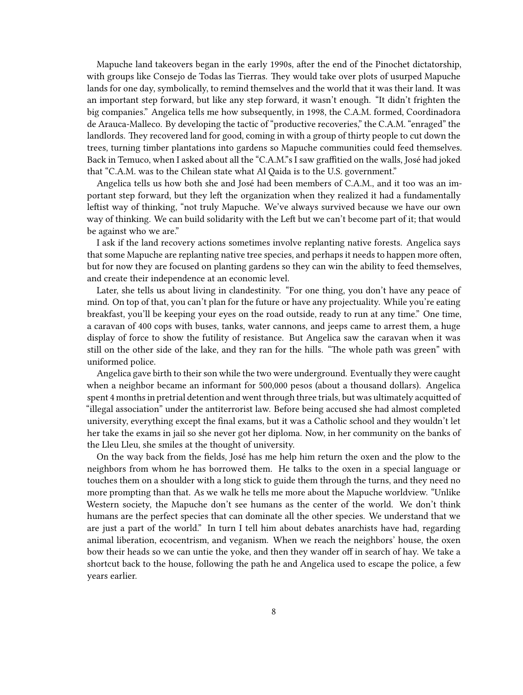Mapuche land takeovers began in the early 1990s, after the end of the Pinochet dictatorship, with groups like Consejo de Todas las Tierras. They would take over plots of usurped Mapuche lands for one day, symbolically, to remind themselves and the world that it was their land. It was an important step forward, but like any step forward, it wasn't enough. "It didn't frighten the big companies." Angelica tells me how subsequently, in 1998, the C.A.M. formed, Coordinadora de Arauca-Malleco. By developing the tactic of "productive recoveries," the C.A.M. "enraged" the landlords. They recovered land for good, coming in with a group of thirty people to cut down the trees, turning timber plantations into gardens so Mapuche communities could feed themselves. Back in Temuco, when I asked about all the "C.A.M."s I saw graffitied on the walls, José had joked that "C.A.M. was to the Chilean state what Al Qaida is to the U.S. government."

Angelica tells us how both she and José had been members of C.A.M., and it too was an important step forward, but they left the organization when they realized it had a fundamentally leftist way of thinking, "not truly Mapuche. We've always survived because we have our own way of thinking. We can build solidarity with the Left but we can't become part of it; that would be against who we are."

I ask if the land recovery actions sometimes involve replanting native forests. Angelica says that some Mapuche are replanting native tree species, and perhaps it needs to happen more often, but for now they are focused on planting gardens so they can win the ability to feed themselves, and create their independence at an economic level.

Later, she tells us about living in clandestinity. "For one thing, you don't have any peace of mind. On top of that, you can't plan for the future or have any projectuality. While you're eating breakfast, you'll be keeping your eyes on the road outside, ready to run at any time." One time, a caravan of 400 cops with buses, tanks, water cannons, and jeeps came to arrest them, a huge display of force to show the futility of resistance. But Angelica saw the caravan when it was still on the other side of the lake, and they ran for the hills. "The whole path was green" with uniformed police.

Angelica gave birth to their son while the two were underground. Eventually they were caught when a neighbor became an informant for 500,000 pesos (about a thousand dollars). Angelica spent 4 months in pretrial detention and went through three trials, but was ultimately acquitted of "illegal association" under the antiterrorist law. Before being accused she had almost completed university, everything except the final exams, but it was a Catholic school and they wouldn't let her take the exams in jail so she never got her diploma. Now, in her community on the banks of the Lleu Lleu, she smiles at the thought of university.

On the way back from the fields, José has me help him return the oxen and the plow to the neighbors from whom he has borrowed them. He talks to the oxen in a special language or touches them on a shoulder with a long stick to guide them through the turns, and they need no more prompting than that. As we walk he tells me more about the Mapuche worldview. "Unlike Western society, the Mapuche don't see humans as the center of the world. We don't think humans are the perfect species that can dominate all the other species. We understand that we are just a part of the world." In turn I tell him about debates anarchists have had, regarding animal liberation, ecocentrism, and veganism. When we reach the neighbors' house, the oxen bow their heads so we can untie the yoke, and then they wander off in search of hay. We take a shortcut back to the house, following the path he and Angelica used to escape the police, a few years earlier.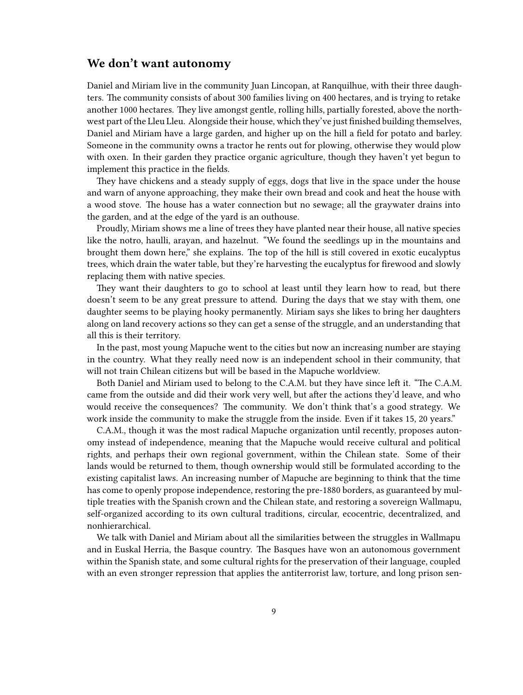#### <span id="page-8-0"></span>**We don't want autonomy**

Daniel and Miriam live in the community Juan Lincopan, at Ranquilhue, with their three daughters. The community consists of about 300 families living on 400 hectares, and is trying to retake another 1000 hectares. They live amongst gentle, rolling hills, partially forested, above the northwest part of the Lleu Lleu. Alongside their house, which they've just finished building themselves, Daniel and Miriam have a large garden, and higher up on the hill a field for potato and barley. Someone in the community owns a tractor he rents out for plowing, otherwise they would plow with oxen. In their garden they practice organic agriculture, though they haven't yet begun to implement this practice in the fields.

They have chickens and a steady supply of eggs, dogs that live in the space under the house and warn of anyone approaching, they make their own bread and cook and heat the house with a wood stove. The house has a water connection but no sewage; all the graywater drains into the garden, and at the edge of the yard is an outhouse.

Proudly, Miriam shows me a line of trees they have planted near their house, all native species like the notro, haulli, arayan, and hazelnut. "We found the seedlings up in the mountains and brought them down here," she explains. The top of the hill is still covered in exotic eucalyptus trees, which drain the water table, but they're harvesting the eucalyptus for firewood and slowly replacing them with native species.

They want their daughters to go to school at least until they learn how to read, but there doesn't seem to be any great pressure to attend. During the days that we stay with them, one daughter seems to be playing hooky permanently. Miriam says she likes to bring her daughters along on land recovery actions so they can get a sense of the struggle, and an understanding that all this is their territory.

In the past, most young Mapuche went to the cities but now an increasing number are staying in the country. What they really need now is an independent school in their community, that will not train Chilean citizens but will be based in the Mapuche worldview.

Both Daniel and Miriam used to belong to the C.A.M. but they have since left it. "The C.A.M. came from the outside and did their work very well, but after the actions they'd leave, and who would receive the consequences? The community. We don't think that's a good strategy. We work inside the community to make the struggle from the inside. Even if it takes 15, 20 years."

C.A.M., though it was the most radical Mapuche organization until recently, proposes autonomy instead of independence, meaning that the Mapuche would receive cultural and political rights, and perhaps their own regional government, within the Chilean state. Some of their lands would be returned to them, though ownership would still be formulated according to the existing capitalist laws. An increasing number of Mapuche are beginning to think that the time has come to openly propose independence, restoring the pre-1880 borders, as guaranteed by multiple treaties with the Spanish crown and the Chilean state, and restoring a sovereign Wallmapu, self-organized according to its own cultural traditions, circular, ecocentric, decentralized, and nonhierarchical.

We talk with Daniel and Miriam about all the similarities between the struggles in Wallmapu and in Euskal Herria, the Basque country. The Basques have won an autonomous government within the Spanish state, and some cultural rights for the preservation of their language, coupled with an even stronger repression that applies the antiterrorist law, torture, and long prison sen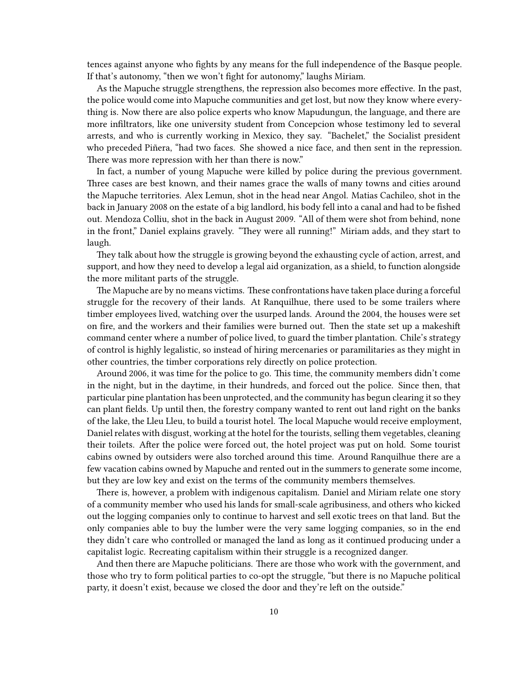tences against anyone who fights by any means for the full independence of the Basque people. If that's autonomy, "then we won't fight for autonomy," laughs Miriam.

As the Mapuche struggle strengthens, the repression also becomes more effective. In the past, the police would come into Mapuche communities and get lost, but now they know where everything is. Now there are also police experts who know Mapudungun, the language, and there are more infiltrators, like one university student from Concepcion whose testimony led to several arrests, and who is currently working in Mexico, they say. "Bachelet," the Socialist president who preceded Piñera, "had two faces. She showed a nice face, and then sent in the repression. There was more repression with her than there is now."

In fact, a number of young Mapuche were killed by police during the previous government. Three cases are best known, and their names grace the walls of many towns and cities around the Mapuche territories. Alex Lemun, shot in the head near Angol. Matias Cachileo, shot in the back in January 2008 on the estate of a big landlord, his body fell into a canal and had to be fished out. Mendoza Colliu, shot in the back in August 2009. "All of them were shot from behind, none in the front," Daniel explains gravely. "They were all running!" Miriam adds, and they start to laugh.

They talk about how the struggle is growing beyond the exhausting cycle of action, arrest, and support, and how they need to develop a legal aid organization, as a shield, to function alongside the more militant parts of the struggle.

The Mapuche are by no means victims. These confrontations have taken place during a forceful struggle for the recovery of their lands. At Ranquilhue, there used to be some trailers where timber employees lived, watching over the usurped lands. Around the 2004, the houses were set on fire, and the workers and their families were burned out. Then the state set up a makeshift command center where a number of police lived, to guard the timber plantation. Chile's strategy of control is highly legalistic, so instead of hiring mercenaries or paramilitaries as they might in other countries, the timber corporations rely directly on police protection.

Around 2006, it was time for the police to go. This time, the community members didn't come in the night, but in the daytime, in their hundreds, and forced out the police. Since then, that particular pine plantation has been unprotected, and the community has begun clearing it so they can plant fields. Up until then, the forestry company wanted to rent out land right on the banks of the lake, the Lleu Lleu, to build a tourist hotel. The local Mapuche would receive employment, Daniel relates with disgust, working at the hotel for the tourists, selling them vegetables, cleaning their toilets. After the police were forced out, the hotel project was put on hold. Some tourist cabins owned by outsiders were also torched around this time. Around Ranquilhue there are a few vacation cabins owned by Mapuche and rented out in the summers to generate some income, but they are low key and exist on the terms of the community members themselves.

There is, however, a problem with indigenous capitalism. Daniel and Miriam relate one story of a community member who used his lands for small-scale agribusiness, and others who kicked out the logging companies only to continue to harvest and sell exotic trees on that land. But the only companies able to buy the lumber were the very same logging companies, so in the end they didn't care who controlled or managed the land as long as it continued producing under a capitalist logic. Recreating capitalism within their struggle is a recognized danger.

And then there are Mapuche politicians. There are those who work with the government, and those who try to form political parties to co-opt the struggle, "but there is no Mapuche political party, it doesn't exist, because we closed the door and they're left on the outside."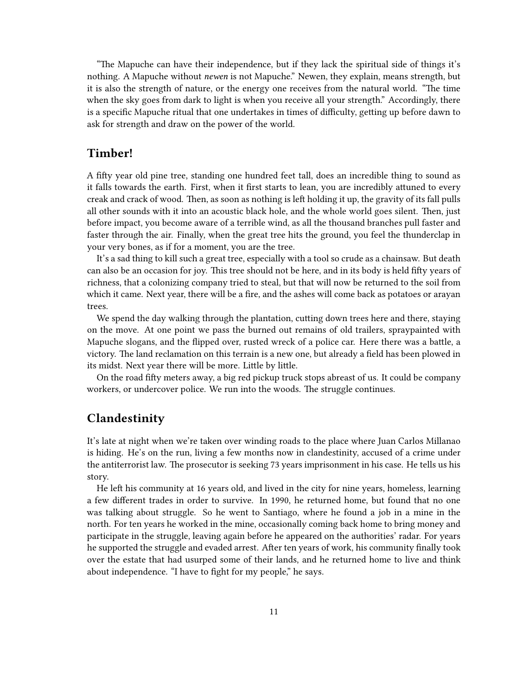"The Mapuche can have their independence, but if they lack the spiritual side of things it's nothing. A Mapuche without *newen* is not Mapuche." Newen, they explain, means strength, but it is also the strength of nature, or the energy one receives from the natural world. "The time when the sky goes from dark to light is when you receive all your strength." Accordingly, there is a specific Mapuche ritual that one undertakes in times of difficulty, getting up before dawn to ask for strength and draw on the power of the world.

#### <span id="page-10-0"></span>**Timber!**

A fifty year old pine tree, standing one hundred feet tall, does an incredible thing to sound as it falls towards the earth. First, when it first starts to lean, you are incredibly attuned to every creak and crack of wood. Then, as soon as nothing is left holding it up, the gravity of its fall pulls all other sounds with it into an acoustic black hole, and the whole world goes silent. Then, just before impact, you become aware of a terrible wind, as all the thousand branches pull faster and faster through the air. Finally, when the great tree hits the ground, you feel the thunderclap in your very bones, as if for a moment, you are the tree.

It's a sad thing to kill such a great tree, especially with a tool so crude as a chainsaw. But death can also be an occasion for joy. This tree should not be here, and in its body is held fifty years of richness, that a colonizing company tried to steal, but that will now be returned to the soil from which it came. Next year, there will be a fire, and the ashes will come back as potatoes or arayan trees.

We spend the day walking through the plantation, cutting down trees here and there, staying on the move. At one point we pass the burned out remains of old trailers, spraypainted with Mapuche slogans, and the flipped over, rusted wreck of a police car. Here there was a battle, a victory. The land reclamation on this terrain is a new one, but already a field has been plowed in its midst. Next year there will be more. Little by little.

On the road fifty meters away, a big red pickup truck stops abreast of us. It could be company workers, or undercover police. We run into the woods. The struggle continues.

### <span id="page-10-1"></span>**Clandestinity**

It's late at night when we're taken over winding roads to the place where Juan Carlos Millanao is hiding. He's on the run, living a few months now in clandestinity, accused of a crime under the antiterrorist law. The prosecutor is seeking 73 years imprisonment in his case. He tells us his story.

He left his community at 16 years old, and lived in the city for nine years, homeless, learning a few different trades in order to survive. In 1990, he returned home, but found that no one was talking about struggle. So he went to Santiago, where he found a job in a mine in the north. For ten years he worked in the mine, occasionally coming back home to bring money and participate in the struggle, leaving again before he appeared on the authorities' radar. For years he supported the struggle and evaded arrest. After ten years of work, his community finally took over the estate that had usurped some of their lands, and he returned home to live and think about independence. "I have to fight for my people," he says.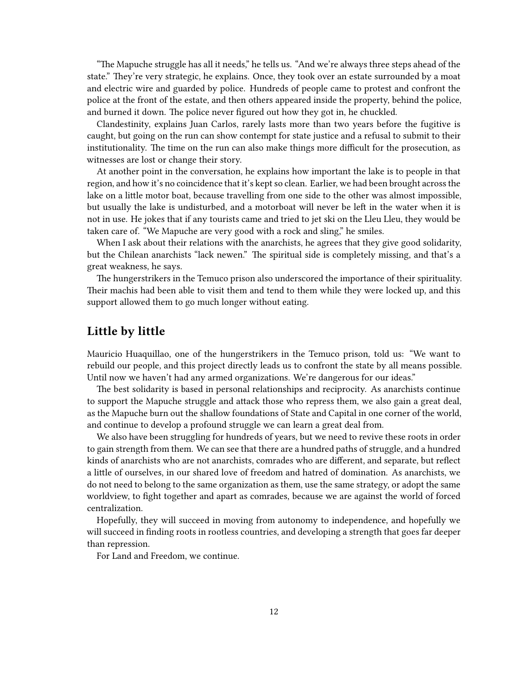"The Mapuche struggle has all it needs," he tells us. "And we're always three steps ahead of the state." They're very strategic, he explains. Once, they took over an estate surrounded by a moat and electric wire and guarded by police. Hundreds of people came to protest and confront the police at the front of the estate, and then others appeared inside the property, behind the police, and burned it down. The police never figured out how they got in, he chuckled.

Clandestinity, explains Juan Carlos, rarely lasts more than two years before the fugitive is caught, but going on the run can show contempt for state justice and a refusal to submit to their institutionality. The time on the run can also make things more difficult for the prosecution, as witnesses are lost or change their story.

At another point in the conversation, he explains how important the lake is to people in that region, and how it's no coincidence that it's kept so clean. Earlier, we had been brought across the lake on a little motor boat, because travelling from one side to the other was almost impossible, but usually the lake is undisturbed, and a motorboat will never be left in the water when it is not in use. He jokes that if any tourists came and tried to jet ski on the Lleu Lleu, they would be taken care of. "We Mapuche are very good with a rock and sling," he smiles.

When I ask about their relations with the anarchists, he agrees that they give good solidarity, but the Chilean anarchists "lack newen." The spiritual side is completely missing, and that's a great weakness, he says.

The hungerstrikers in the Temuco prison also underscored the importance of their spirituality. Their machis had been able to visit them and tend to them while they were locked up, and this support allowed them to go much longer without eating.

#### <span id="page-11-0"></span>**Little by little**

Mauricio Huaquillao, one of the hungerstrikers in the Temuco prison, told us: "We want to rebuild our people, and this project directly leads us to confront the state by all means possible. Until now we haven't had any armed organizations. We're dangerous for our ideas."

The best solidarity is based in personal relationships and reciprocity. As anarchists continue to support the Mapuche struggle and attack those who repress them, we also gain a great deal, as the Mapuche burn out the shallow foundations of State and Capital in one corner of the world, and continue to develop a profound struggle we can learn a great deal from.

We also have been struggling for hundreds of years, but we need to revive these roots in order to gain strength from them. We can see that there are a hundred paths of struggle, and a hundred kinds of anarchists who are not anarchists, comrades who are different, and separate, but reflect a little of ourselves, in our shared love of freedom and hatred of domination. As anarchists, we do not need to belong to the same organization as them, use the same strategy, or adopt the same worldview, to fight together and apart as comrades, because we are against the world of forced centralization.

Hopefully, they will succeed in moving from autonomy to independence, and hopefully we will succeed in finding roots in rootless countries, and developing a strength that goes far deeper than repression.

For Land and Freedom, we continue.